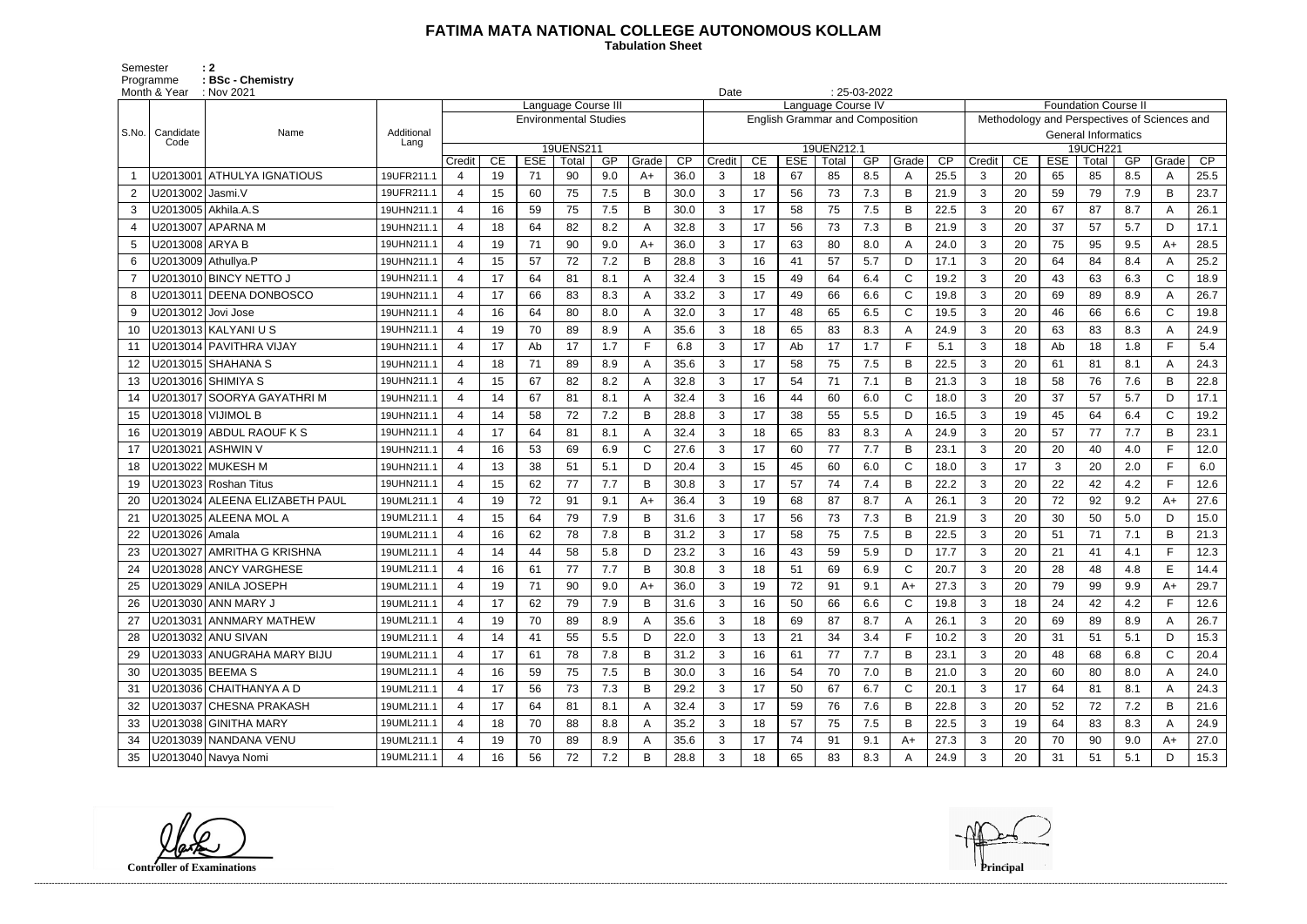## **FATIMA MATA NATIONAL COLLEGE AUTONOMOUS KOLLAM**

Semester : 2 Programme **: BSc - Chemistry**  **Tabulation Sheet** 

|       | Month & Year         | $: 25-03-2022$<br>$\therefore$ Nov 2021<br>Date |                    |                                                        |                                                                                                          |    |    |       |              |        |                                        |            |                     |    |       |              |        |                            |                                              |                   |    |       |              |      |  |
|-------|----------------------|-------------------------------------------------|--------------------|--------------------------------------------------------|----------------------------------------------------------------------------------------------------------|----|----|-------|--------------|--------|----------------------------------------|------------|---------------------|----|-------|--------------|--------|----------------------------|----------------------------------------------|-------------------|----|-------|--------------|------|--|
|       |                      |                                                 |                    |                                                        | Language Course IV<br><b>Foundation Course II</b><br>Language Course III<br><b>Environmental Studies</b> |    |    |       |              |        |                                        |            |                     |    |       |              |        |                            |                                              |                   |    |       |              |      |  |
|       |                      |                                                 |                    |                                                        |                                                                                                          |    |    |       |              |        | <b>English Grammar and Composition</b> |            |                     |    |       |              |        |                            | Methodology and Perspectives of Sciences and |                   |    |       |              |      |  |
| S.No. | Candidate<br>Code    | Name                                            | Additional<br>Lang |                                                        |                                                                                                          |    |    |       |              |        |                                        |            |                     |    |       |              |        | <b>General Informatics</b> |                                              |                   |    |       |              |      |  |
|       |                      |                                                 |                    | 19UENS211<br><b>ESE</b><br>CE<br>GP<br>Credit<br>Total |                                                                                                          |    |    | Grade | CP           | Credit | CE                                     | <b>ESE</b> | 19UEN212.1<br>Total | GP | Grade | CP           | Credit | CE                         | <b>ESE</b>                                   | 19UCH221<br>Total | GP | Grade | CP           |      |  |
|       |                      | U2013001   ATHULYA IGNATIOUS                    | 19UFR211.1         | 4                                                      | 19                                                                                                       | 71 | 90 | 9.0   | $A+$         | 36.0   | 3                                      | 18         | 67                  | 85 | 8.5   | $\mathsf{A}$ | 25.5   | 3                          | 20                                           | 65                | 85 | 8.5   | A            | 25.5 |  |
| 2     | U2013002   Jasmi.V   |                                                 | 19UFR211.1         | $\overline{4}$                                         | 15                                                                                                       | 60 | 75 | 7.5   | в            | 30.0   | 3                                      | 17         | 56                  | 73 | 7.3   | B            | 21.9   | 3                          | 20                                           | 59                | 79 | 7.9   | B            | 23.7 |  |
| 3     |                      | U2013005   Akhila.A.S                           | 19UHN211.1         | $\overline{4}$                                         | 16                                                                                                       | 59 | 75 | 7.5   | В            | 30.0   | 3                                      | 17         | 58                  | 75 | 7.5   | B            | 22.5   | 3                          | 20                                           | 67                | 87 | 8.7   | A            | 26.1 |  |
| 4     |                      | U2013007 APARNA M                               | 19UHN211.1         | $\overline{4}$                                         | 18                                                                                                       | 64 | 82 | 8.2   |              | 32.8   | 3                                      | 17         | 56                  | 73 | 7.3   | B            | 21.9   | 3                          | 20                                           | 37                | 57 | 5.7   | D            | 17.1 |  |
| 5     | U2013008 ARYA B      |                                                 | 19UHN211.1         | $\overline{4}$                                         | 19                                                                                                       | 71 | 90 | 9.0   | A+           | 36.0   | 3                                      | 17         | 63                  | 80 | 8.0   | A            | 24.0   | 3                          | 20                                           | 75                | 95 | 9.5   | A+           | 28.5 |  |
| 6     |                      | U2013009 Athullya.P                             | 19UHN211.1         |                                                        | 15                                                                                                       | 57 | 72 | 7.2   | В            | 28.8   | 3                                      | 16         | 41                  | 57 | 5.7   | D            | 17.1   | 3                          | 20                                           | 64                | 84 | 8.4   | A            | 25.2 |  |
| -7    |                      | U2013010 BINCY NETTO J                          | 19UHN211.1         | $\overline{4}$                                         | 17                                                                                                       | 64 | 81 | 8.1   |              | 32.4   | 3                                      | 15         | 49                  | 64 | 6.4   | $\mathsf{C}$ | 19.2   | 3                          | 20                                           | 43                | 63 | 6.3   | $\mathsf{C}$ | 18.9 |  |
| 8     |                      | U2013011 DEENA DONBOSCO                         | 19UHN211.1         | $\overline{4}$                                         | 17                                                                                                       | 66 | 83 | 8.3   | А            | 33.2   | 3                                      | 17         | 49                  | 66 | 6.6   | $\mathbf C$  | 19.8   | 3                          | 20                                           | 69                | 89 | 8.9   | A            | 26.7 |  |
| 9     | U2013012   Jovi Jose |                                                 | 19UHN211.1         | $\overline{4}$                                         | 16                                                                                                       | 64 | 80 | 8.0   | A            | 32.0   | 3                                      | 17         | 48                  | 65 | 6.5   | $\mathsf{C}$ | 19.5   | 3                          | 20                                           | 46                | 66 | 6.6   | $\mathsf{C}$ | 19.8 |  |
| 10    |                      | U2013013 KALYANI U S                            | 19UHN211.1         | $\overline{4}$                                         | 19                                                                                                       | 70 | 89 | 8.9   | А            | 35.6   | 3                                      | 18         | 65                  | 83 | 8.3   | A            | 24.9   | 3                          | 20                                           | 63                | 83 | 8.3   | A            | 24.9 |  |
| 11    |                      | U2013014 PAVITHRA VIJAY                         | 19UHN211.1         | 4                                                      | 17                                                                                                       | Ab | 17 | 1.7   | F            | 6.8    | 3                                      | 17         | Ab                  | 17 | 1.7   | E            | 5.1    | 3                          | 18                                           | Ab                | 18 | 1.8   | F            | 5.4  |  |
| 12    |                      |                                                 | 19UHN211.1         | $\overline{4}$                                         | 18                                                                                                       | 71 | 89 | 8.9   |              | 35.6   | 3                                      | 17         | 58                  | 75 | 7.5   | B            | 22.5   | 3                          | 20                                           | 61                | 81 | 8.1   | A            | 24.3 |  |
| 13    |                      | U2013016  SHIMIYA S                             | 19UHN211.1         | $\overline{4}$                                         | 15                                                                                                       | 67 | 82 | 8.2   | А            | 32.8   | 3                                      | 17         | 54                  | 71 | 7.1   | B            | 21.3   | 3                          | 18                                           | 58                | 76 | 7.6   | B            | 22.8 |  |
| 14    |                      | U2013017   SOORYA GAYATHRI M                    | 19UHN211.1         | $\overline{4}$                                         | 14                                                                                                       | 67 | 81 | 8.1   | А            | 32.4   | 3                                      | 16         | 44                  | 60 | 6.0   | $\mathsf{C}$ | 18.0   | 3                          | 20                                           | 37                | 57 | 5.7   | D            | 17.1 |  |
| 15    |                      | U2013018 VIJIMOL B                              | 19UHN211.1         | $\overline{4}$                                         | 14                                                                                                       | 58 | 72 | 7.2   | B            | 28.8   | 3                                      | 17         | 38                  | 55 | 5.5   | D            | 16.5   | 3                          | 19                                           | 45                | 64 | 6.4   | $\mathsf{C}$ | 19.2 |  |
| 16    |                      | U2013019 ABDUL RAOUF K S                        | 19UHN211.1         | 4                                                      | 17                                                                                                       | 64 | 81 | 8.1   |              | 32.4   | 3                                      | 18         | 65                  | 83 | 8.3   | $\mathsf{A}$ | 24.9   | 3                          | 20                                           | 57                | 77 | 7.7   | B            | 23.1 |  |
| 17    |                      | U2013021   ASHWIN V                             | 19UHN211.1         | $\overline{4}$                                         | 16                                                                                                       | 53 | 69 | 6.9   | $\mathsf{C}$ | 27.6   | 3                                      | 17         | 60                  | 77 | 7.7   | B            | 23.1   | 3                          | 20                                           | 20                | 40 | 4.0   | F            | 12.0 |  |
| 18    |                      | U2013022 MUKESH M                               | 19UHN211.1         | $\overline{4}$                                         | 13                                                                                                       | 38 | 51 | 5.1   | D            | 20.4   | 3                                      | 15         | 45                  | 60 | 6.0   | $\mathbf C$  | 18.0   | 3                          | 17                                           | 3                 | 20 | 2.0   | F.           | 6.0  |  |
| 19    |                      | U2013023 Roshan Titus                           | 19UHN211.1         | $\overline{4}$                                         | 15                                                                                                       | 62 | 77 | 7.7   | B            | 30.8   | 3                                      | 17         | 57                  | 74 | 7.4   | B            | 22.2   | 3                          | 20                                           | 22                | 42 | 4.2   | F            | 12.6 |  |
| 20    |                      | U2013024 ALEENA ELIZABETH PAUL                  | 19UML211.1         | $\overline{4}$                                         | 19                                                                                                       | 72 | 91 | 9.1   | $A+$         | 36.4   | 3                                      | 19         | 68                  | 87 | 8.7   | A            | 26.1   | 3                          | 20                                           | 72                | 92 | 9.2   | A+           | 27.6 |  |
| 21    |                      | U2013025 ALEENA MOL A                           | 19UML211.1         | 4                                                      | 15                                                                                                       | 64 | 79 | 7.9   | B            | 31.6   | 3                                      | 17         | 56                  | 73 | 7.3   | B            | 21.9   | 3                          | 20                                           | 30                | 50 | 5.0   | D            | 15.0 |  |
| 22    | U2013026   Amala     |                                                 | 19UML211.1         | $\overline{4}$                                         | 16                                                                                                       | 62 | 78 | 7.8   | B            | 31.2   | 3                                      | 17         | 58                  | 75 | 7.5   | B            | 22.5   | 3                          | 20                                           | 51                | 71 | 7.1   | B            | 21.3 |  |
| 23    |                      | U2013027 AMRITHA G KRISHNA                      | 19UML211.1         | $\overline{4}$                                         | 14                                                                                                       | 44 | 58 | 5.8   | D            | 23.2   | 3                                      | 16         | 43                  | 59 | 5.9   | D            | 17.7   | 3                          | 20                                           | 21                | 41 | 4.1   | F            | 12.3 |  |
| 24    |                      | U2013028 ANCY VARGHESE                          | 19UML211.1         | 4                                                      | 16                                                                                                       | 61 | 77 | 7.7   |              | 30.8   | 3                                      | 18         | 51                  | 69 | 6.9   | $\mathsf{C}$ | 20.7   | 3                          | 20                                           | 28                | 48 | 4.8   | E            | 14.4 |  |
|       |                      | U2013029 ANILA JOSEPH                           | 19UML211.1         | 4                                                      | 19                                                                                                       | 71 | 90 | 9.0   | A+           | 36.0   | 3                                      | 19         | 72                  | 91 | 9.1   | A+           | 27.3   | 3                          | 20                                           | 79                | 99 | 9.9   | A+           | 29.7 |  |
|       |                      | U2013030 ANN MARY J                             | 19UML211.1         | 4                                                      | 17                                                                                                       | 62 | 79 | 7.9   | В            | 31.6   | 3                                      | 16         | 50                  | 66 | 6.6   | C            | 19.8   | 3                          | 18                                           | 24                | 42 | 4.2   | F            | 12.6 |  |
| 27    |                      | U2013031 ANNMARY MATHEW                         | 19UML211.1         | $\overline{4}$                                         | 19                                                                                                       | 70 | 89 | 8.9   | A            | 35.6   | 3                                      | 18         | 69                  | 87 | 8.7   | A            | 26.1   | 3                          | 20                                           | 69                | 89 | 8.9   | A            | 26.7 |  |
| 28    |                      | U2013032 ANU SIVAN                              | 19UML211.1         | 4                                                      | 14                                                                                                       | 41 | 55 | 5.5   | D            | 22.0   | 3 <sup>1</sup>                         | 13         | 21                  | 34 | 3.4   | F            | 10.2   | $\mathbf{3}$               | 20                                           | 31                | 51 | 5.1   | D            | 15.3 |  |
| 29    |                      | U2013033 ANUGRAHA MARY BIJU                     | 19UML211.1         | 4                                                      | 17                                                                                                       | 61 | 78 | 7.8   | В            | 31.2   | 3                                      | 16         | 61                  | 77 | 7.7   | B            | 23.1   | $\mathbf{3}$               | 20                                           | 48                | 68 | 6.8   | $\mathsf{C}$ | 20.4 |  |
| 30    |                      | U2013035 BEEMA S                                | 19UML211.1         | $\overline{4}$                                         | 16                                                                                                       | 59 | 75 | 7.5   | B            | 30.0   | 3                                      | 16         | 54                  | 70 | 7.0   | B            | 21.0   | 3                          | 20                                           | 60                | 80 | 8.0   | A            | 24.0 |  |
| 31    |                      | U2013036 CHAITHANYA A D                         | 19UML211.1         | 4                                                      | 17                                                                                                       | 56 | 73 | 7.3   | B            | 29.2   | 3                                      | 17         | 50                  | 67 | 6.7   | C            | 20.1   | $\mathbf{3}$               | 17                                           | 64                | 81 | 8.1   | A            | 24.3 |  |
| 32    |                      | U2013037 CHESNA PRAKASH                         | 19UML211.1         | $\overline{4}$                                         | 17                                                                                                       | 64 | 81 | 8.1   | A            | 32.4   | 3                                      | 17         | 59                  | 76 | 7.6   | B            | 22.8   | 3                          | 20                                           | 52                | 72 | 7.2   | B            | 21.6 |  |
| 33    |                      | U2013038 GINITHA MARY                           | 19UML211.1         | 4                                                      | 18                                                                                                       | 70 | 88 | 8.8   |              | 35.2   | 3                                      | 18         | 57                  | 75 | 7.5   | B            | 22.5   | 3                          | 19                                           | 64                | 83 | 8.3   | A            | 24.9 |  |
| 34    |                      | U2013039 NANDANA VENU                           | 19UML211.1         | $\overline{4}$                                         | 19                                                                                                       | 70 | 89 | 8.9   | A            | 35.6   | 3                                      | 17         | 74                  | 91 | 9.1   | $A+$         | 27.3   | 3                          | 20                                           | 70                | 90 | 9.0   | $A+$         | 27.0 |  |
| 35    |                      | U2013040 Navya Nomi                             | 19UML211.1         |                                                        | 16                                                                                                       | 56 | 72 | 7.2   | B            | 28.8   | 3                                      | 18         | 65                  | 83 | 8.3   | A            | 24.9   | $\mathbf{3}$               | 20                                           | 31                | 51 | 5.1   | D            | 15.3 |  |

**Controller of Examinations Principal**

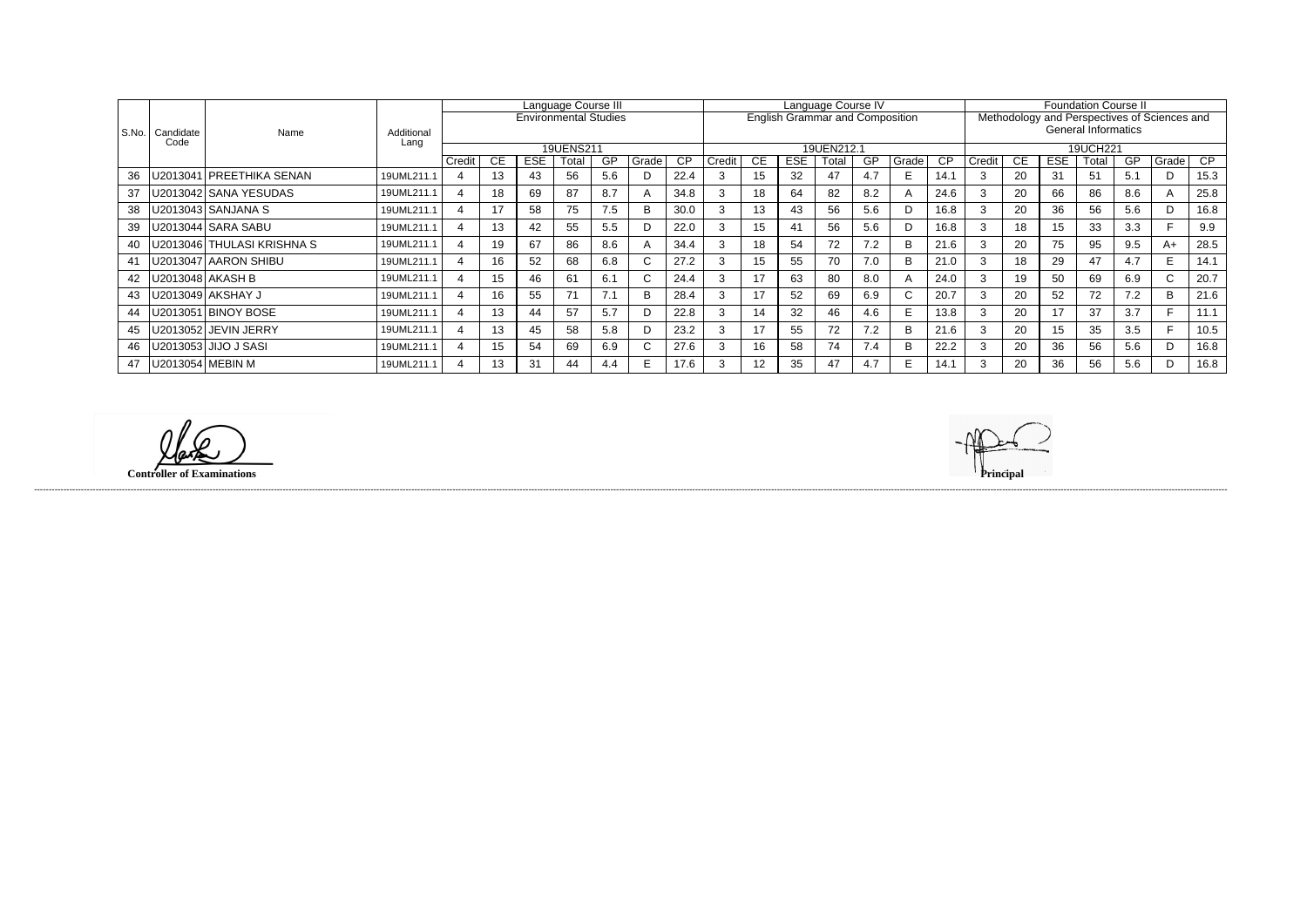|       |                   |                            | Additional<br>Lang | Language Course III |     |            |                              |           |       | Language Course IV |        |                 |                |                                        |     |                | <b>Foundation Course II</b> |                            |           |            |       |                 |                                              |      |
|-------|-------------------|----------------------------|--------------------|---------------------|-----|------------|------------------------------|-----------|-------|--------------------|--------|-----------------|----------------|----------------------------------------|-----|----------------|-----------------------------|----------------------------|-----------|------------|-------|-----------------|----------------------------------------------|------|
|       |                   |                            |                    |                     |     |            | <b>Environmental Studies</b> |           |       |                    |        |                 |                | <b>English Grammar and Composition</b> |     |                |                             |                            |           |            |       |                 | Methodology and Perspectives of Sciences and |      |
| S.No. | Candidate<br>Code | Name                       |                    |                     |     |            |                              |           |       |                    |        |                 |                |                                        |     |                |                             | <b>General Informatics</b> |           |            |       |                 |                                              |      |
|       |                   |                            |                    |                     |     |            | 19UENS211                    |           |       |                    |        |                 |                | 19UEN212.1                             |     |                |                             | 19UCH221                   |           |            |       |                 |                                              |      |
|       |                   |                            |                    | Credit              | CE. | <b>ESE</b> | Total                        | <b>GP</b> | Grade | $\overline{CP}$    | Credit | <b>CE</b>       | <b>ESE</b>     | Гоtal                                  | GP  | Grade          | CP                          | Credit                     | <b>CE</b> | <b>ESE</b> | Total | $\overline{GP}$ | Grade                                        | CP.  |
| 36    |                   | J2013041 PREETHIKA SENAN   | 19UML211.1         | 4                   | 13  | 43         | 56                           | 5.6       |       | 22.4               |        | 15              | 32             | 47                                     | 4.7 | E.             | 14.1                        |                            | 20        | 31         | 51    | 5.1             | D                                            | 15.3 |
| 37    |                   | U2013042 SANA YESUDAS      | 19UML211.1         |                     | 18  | 69         | 87                           | 8.7       |       | 34.8               |        | 18              | 64             | 82                                     | 8.2 | $\overline{A}$ | 24.6                        |                            | 20        | 66         | 86    | 8.6             | $\mathsf{A}$                                 | 25.8 |
| 38    |                   | U2013043   SANJANA S       | 19UML211.1         | 4                   | 17  | 58         | 75                           | 7.5       | R     | 30.0               | 3      | 13              | 43             | 56                                     | 5.6 | D              | 16.8                        | 3                          | 20        | 36         | 56    | 5.6             | D                                            | 16.8 |
| 39    |                   | U2013044   SARA SABU       | 19UML211.1         |                     | 13  | 42         | 55                           | 5.5       |       | 22.0               |        | 15              | 4 <sup>′</sup> | 56                                     | 5.6 | D              | 16.8                        |                            | 18        | 15         | 33    | 3.3             |                                              | 9.9  |
| 40    |                   | U2013046 THULASI KRISHNA S | 19UML211.1         |                     | 19  | 67         | 86                           | 8.6       |       | 34.4               |        | 18              | 54             | 72                                     | 7.2 | B              | 21.6                        |                            | 20        | 75         | 95    | 9.5             | A+                                           | 28.5 |
| 41    |                   | U2013047 AARON SHIBU       | 19UML211.1         | $\overline{4}$      | 16  | 52         | 68                           | 6.8       | U     | 27.2               |        | 15              | 55             | 70                                     | 7.0 | B              | 21.0                        | 3                          | 18        | 29         | 47    | 4.7             | E.                                           | 14.1 |
| 42    |                   | U2013048   AKASH B         | 19UML211.1         |                     | 15  | 46         | 61                           | 6.1       |       | 24.4               |        | 17              | 63             | 80                                     | 8.0 | A              | 24.0                        | 3                          | 19        | 50         | 69    | 6.9             | C.                                           | 20.7 |
| 43    |                   | U2013049   AKSHAY J        | 19UML211.1         |                     | 16  | 55         | 71                           | 7.1       | R     | 28.4               |        | 17              | 52             | 69                                     | 6.9 | C.             | 20.7                        | 3                          | 20        | 52         | 72    | 7.2             | B                                            | 21.6 |
| 44    |                   | J2013051 BINOY BOSE        | 19UML211.1         |                     | 13  | 44         | 57                           | 5.7       |       | 22.8               |        | 14              | 32             | 46                                     | 4.6 | E.             | 13.8                        |                            | 20        | 17         | 37    | 3.7             |                                              | 11.1 |
| 45    |                   | U2013052 JEVIN JERRY       | 19UML211.1         |                     | 13  | 45         | 58                           | 5.8       |       | 23.2               |        | 17              | 55             | 72                                     | 7.2 | B              | 21.6                        | $\Omega$                   | 20        | 15         | 35    | 3.5             |                                              | 10.5 |
| 46    |                   | J2013053   JIJO J SASI     | 19UML211.1         |                     | 15  | 54         | 69                           | 6.9       |       | 27.6               |        | 16              | 58             | 74                                     | 7.4 | B              | 22.2                        |                            | 20        | 36         | 56    | 5.6             | D                                            | 16.8 |
| 47    |                   | U2013054 MEBIN M           | 19UML211.1         |                     | 13  | 31         | 44                           | 4.4       |       | 17.6               |        | 12 <sup>2</sup> | 35             | 47                                     | 4.7 | E.             | 14.1                        |                            | 20        | 36         | 56    | 5.6             | D                                            | 16.8 |

**Controller of Examinations Principal**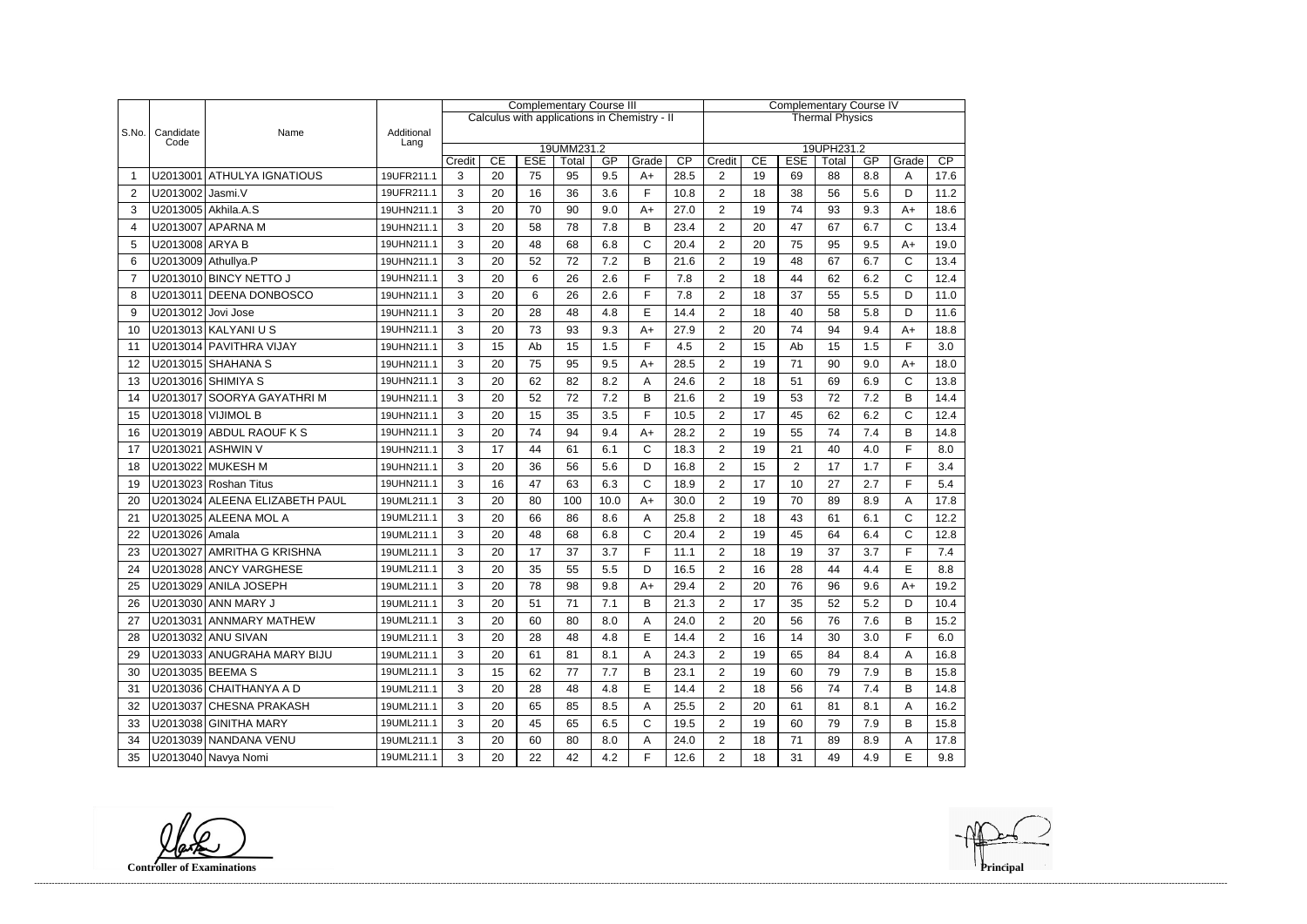|                |                     |                                |                    | <b>Complementary Course III</b> |    |            |                     |                  |                                              |                        | <b>Complementary Course IV</b> |    |                |                     |     |              |      |  |
|----------------|---------------------|--------------------------------|--------------------|---------------------------------|----|------------|---------------------|------------------|----------------------------------------------|------------------------|--------------------------------|----|----------------|---------------------|-----|--------------|------|--|
|                |                     |                                |                    |                                 |    |            |                     |                  | Calculus with applications in Chemistry - II | <b>Thermal Physics</b> |                                |    |                |                     |     |              |      |  |
| S.No.          | Candidate<br>Code   | Name                           | Additional<br>Lang |                                 |    |            |                     |                  |                                              |                        |                                |    |                |                     |     |              |      |  |
|                |                     |                                |                    | Credit                          | CE | <b>ESE</b> | 19UMM231.2<br>Total | GP               | Grade                                        | CP                     | Credit                         | CE | <b>ESE</b>     | 19UPH231.2<br>Total | GP  | Grade        | CP   |  |
|                |                     | U2013001 ATHULYA IGNATIOUS     | 19UFR211.1         | 3                               | 20 | 75         | 95                  | 9.5              | $A+$                                         | 28.5                   | $\overline{2}$                 | 19 | 69             | 88                  | 8.8 | A            | 17.6 |  |
| $\overline{2}$ | U2013002 Jasmi.V    |                                | 19UFR211.1         | 3                               | 20 | 16         | 36                  | 3.6              | F                                            | 10.8                   | $\overline{2}$                 | 18 | 38             | 56                  | 5.6 | D            | 11.2 |  |
| 3              |                     | U2013005 Akhila.A.S            | 19UHN211.1         | 3                               | 20 | 70         | 90                  | 9.0              | $A+$                                         | 27.0                   | $\overline{2}$                 | 19 | 74             | 93                  | 9.3 | $A+$         | 18.6 |  |
| 4              |                     | U2013007 APARNA M              | 19UHN211.1         | 3                               | 20 | 58         | 78                  | 7.8              | B                                            | 23.4                   | $\overline{2}$                 | 20 | 47             | 67                  | 6.7 | C            | 13.4 |  |
| 5              | U2013008 ARYA B     |                                | 19UHN211.1         | 3                               | 20 | 48         | 68                  | 6.8              | $\mathsf C$                                  | 20.4                   | $\overline{2}$                 | 20 | 75             | 95                  | 9.5 | $A+$         | 19.0 |  |
| 6              | U2013009 Athullya.P |                                | 19UHN211.1         | 3                               | 20 | 52         | 72                  | 7.2              | B                                            | 21.6                   | $\overline{2}$                 | 19 | 48             | 67                  | 6.7 | $\mathsf{C}$ | 13.4 |  |
| $\overline{7}$ |                     | U2013010 BINCY NETTO J         | 19UHN211.1         | 3                               | 20 | 6          | 26                  | 2.6              | F                                            | 7.8                    | $\overline{2}$                 | 18 | 44             | 62                  | 6.2 | $\mathsf{C}$ | 12.4 |  |
| 8              |                     | U2013011 DEENA DONBOSCO        | 19UHN211.1         | 3                               | 20 | 6          | 26                  | 2.6              | E                                            | 7.8                    | $\overline{2}$                 | 18 | 37             | 55                  | 5.5 | D            | 11.0 |  |
| 9              | U2013012 Jovi Jose  |                                | 19UHN211.1         | 3                               | 20 | 28         | 48                  | 4.8              | $\mathsf E$                                  | 14.4                   | $\overline{2}$                 | 18 | 40             | 58                  | 5.8 | D            | 11.6 |  |
| 10             |                     | U2013013 KALYANI U S           | 19UHN211.1         | 3                               | 20 | 73         | 93                  | 9.3              | $A+$                                         | 27.9                   | $\overline{2}$                 | 20 | 74             | 94                  | 9.4 | $A+$         | 18.8 |  |
| 11             |                     | U2013014 PAVITHRA VIJAY        | 19UHN211.1         | 3                               | 15 | Ab         | 15                  | 1.5              | F                                            | 4.5                    | $\overline{2}$                 | 15 | Ab             | 15                  | 1.5 | F            | 3.0  |  |
| 12             |                     | U2013015 SHAHANA S             | 19UHN211.1         | 3                               | 20 | 75         | 95                  | 9.5              | $A+$                                         | 28.5                   | $\overline{2}$                 | 19 | 71             | 90                  | 9.0 | $A+$         | 18.0 |  |
| 13             |                     | U2013016 SHIMIYA S             | 19UHN211.1         | 3                               | 20 | 62         | 82                  | 8.2              | Α                                            | 24.6                   | $\overline{2}$                 | 18 | 51             | 69                  | 6.9 | C            | 13.8 |  |
| 14             |                     | U2013017 SOORYA GAYATHRI M     | 19UHN211.1         | 3                               | 20 | 52         | 72                  | 7.2              | B                                            | 21.6                   | $\overline{2}$                 | 19 | 53             | 72                  | 7.2 | B            | 14.4 |  |
| 15             |                     | U2013018 VIJIMOL B             | 19UHN211.1         | 3                               | 20 | 15         | 35                  | 3.5              | F                                            | 10.5                   | $\overline{2}$                 | 17 | 45             | 62                  | 6.2 | C            | 12.4 |  |
| 16             |                     | U2013019 ABDUL RAOUF K S       | 19UHN211.1         | 3                               | 20 | 74         | 94                  | 9.4              | $A+$                                         | 28.2                   | $\overline{2}$                 | 19 | 55             | 74                  | 7.4 | B            | 14.8 |  |
| 17             |                     | U2013021 ASHWIN V              | 19UHN211.1         | 3                               | 17 | 44         | 61                  | 6.1              | $\mathsf{C}$                                 | 18.3                   | $\overline{2}$                 | 19 | 21             | 40                  | 4.0 | F            | 8.0  |  |
| 18             |                     | U2013022 MUKESH M              | 19UHN211.1         | 3                               | 20 | 36         | 56                  | 5.6              | D                                            | 16.8                   | $\overline{2}$                 | 15 | $\overline{2}$ | 17                  | 1.7 | F            | 3.4  |  |
| 19             |                     | U2013023 Roshan Titus          | 19UHN211.1         | 3                               | 16 | 47         | 63                  | 6.3              | $\mathsf{C}$                                 | 18.9                   | $\overline{2}$                 | 17 | 10             | 27                  | 2.7 | F            | 5.4  |  |
| 20             |                     | U2013024 ALEENA ELIZABETH PAUL | 19UML211.1         | 3                               | 20 | 80         | 100                 | 10.0             | $A+$                                         | 30.0                   | $\overline{2}$                 | 19 | 70             | 89                  | 8.9 | Α            | 17.8 |  |
| 21             |                     | U2013025 ALEENA MOL A          | 19UML211.1         | 3                               | 20 | 66         | 86                  | 8.6              | A                                            | 25.8                   | $\overline{2}$                 | 18 | 43             | 61                  | 6.1 | $\mathsf{C}$ | 12.2 |  |
| 22             | U2013026 Amala      |                                | 19UML211.1         | 3                               | 20 | 48         | 68                  | 6.8              | $\mathsf{C}$                                 | 20.4                   | $\overline{2}$                 | 19 | 45             | 64                  | 6.4 | $\mathsf{C}$ | 12.8 |  |
| 23             |                     | U2013027 AMRITHA G KRISHNA     | 19UML211.1         | 3                               | 20 | 17         | 37                  | 3.7              | E                                            | 11.1                   | $\overline{2}$                 | 18 | 19             | 37                  | 3.7 | F            | 7.4  |  |
| 24             |                     | U2013028 ANCY VARGHESE         | 19UML211.1         | 3                               | 20 | 35         | 55                  | 5.5              | D                                            | 16.5                   | $\overline{2}$                 | 16 | 28             | 44                  | 4.4 | E            | 8.8  |  |
| 25             |                     | U2013029 ANILA JOSEPH          | 19UML211.1         | 3                               | 20 | 78         | 98                  | 9.8<br>$\ddotsc$ | $A+$                                         | 29.4                   | $\overline{c}$                 | 20 | 76             | 96                  | 9.6 | A+           | 19.2 |  |
| 26             |                     | U2013030 ANN MARY J            | 19UML211.1         | 3                               | 20 | 51         | 71                  | 7.1              | В                                            | 21.3                   | $\overline{2}$                 | 17 | 35             | 52                  | 5.2 | D            | 10.4 |  |
| 27             |                     | U2013031 ANNMARY MATHEW        | 19UML211.1         | 3                               | 20 | 60         | 80                  | 8.0              | A                                            | 24.0                   | $\overline{2}$                 | 20 | 56             | 76                  | 7.6 | B            | 15.2 |  |
| 28             |                     | U2013032 ANU SIVAN             | 19UML211.1         | 3                               | 20 | 28         | 48                  | 4.8              | Е                                            | 14.4                   | $\overline{2}$                 | 16 | 14             | 30                  | 3.0 | F            | 6.0  |  |
| 29             |                     | U2013033 ANUGRAHA MARY BIJU    | 19UML211.1         | 3                               | 20 | 61         | 81                  | 8.1              | A                                            | 24.3                   | $\overline{2}$                 | 19 | 65             | 84                  | 8.4 | Α            | 16.8 |  |
| 30             | U2013035 BEEMA S    |                                | 19UML211.1         | 3                               | 15 | 62         | 77                  | 7.7              | B                                            | 23.1                   | $\overline{2}$                 | 19 | 60             | 79                  | 7.9 | В            | 15.8 |  |
| 31             |                     | U2013036 CHAITHANYA A D        | 19UML211.1         | 3                               | 20 | 28         | 48                  | 4.8              | E                                            | 14.4                   | $\overline{2}$                 | 18 | 56             | 74                  | 7.4 | B            | 14.8 |  |
| 32             |                     | U2013037 CHESNA PRAKASH        | 19UML211.1         | 3                               | 20 | 65         | 85                  | 8.5              | A                                            | 25.5                   | $\overline{2}$                 | 20 | 61             | 81                  | 8.1 | A            | 16.2 |  |
| 33             |                     | U2013038 GINITHA MARY          | 19UML211.1         | 3                               | 20 | 45         | 65                  | 6.5              | $\mathsf{C}$                                 | 19.5                   | $\overline{c}$                 | 19 | 60             | 79                  | 7.9 | В            | 15.8 |  |
| 34             |                     | U2013039 NANDANA VENU          | 19UML211.1         | 3                               | 20 | 60         | 80                  | 8.0              | A                                            | 24.0                   | $\overline{c}$                 | 18 | 71             | 89                  | 8.9 | Α            | 17.8 |  |
| 35             |                     | U2013040 Navya Nomi            | 19UML211.1         | 3                               | 20 | 22         | 42                  | 4.2              | F                                            | 12.6                   | $\overline{2}$                 | 18 | 31             | 49                  | 4.9 | Е            | 9.8  |  |

**Controller of Examinations**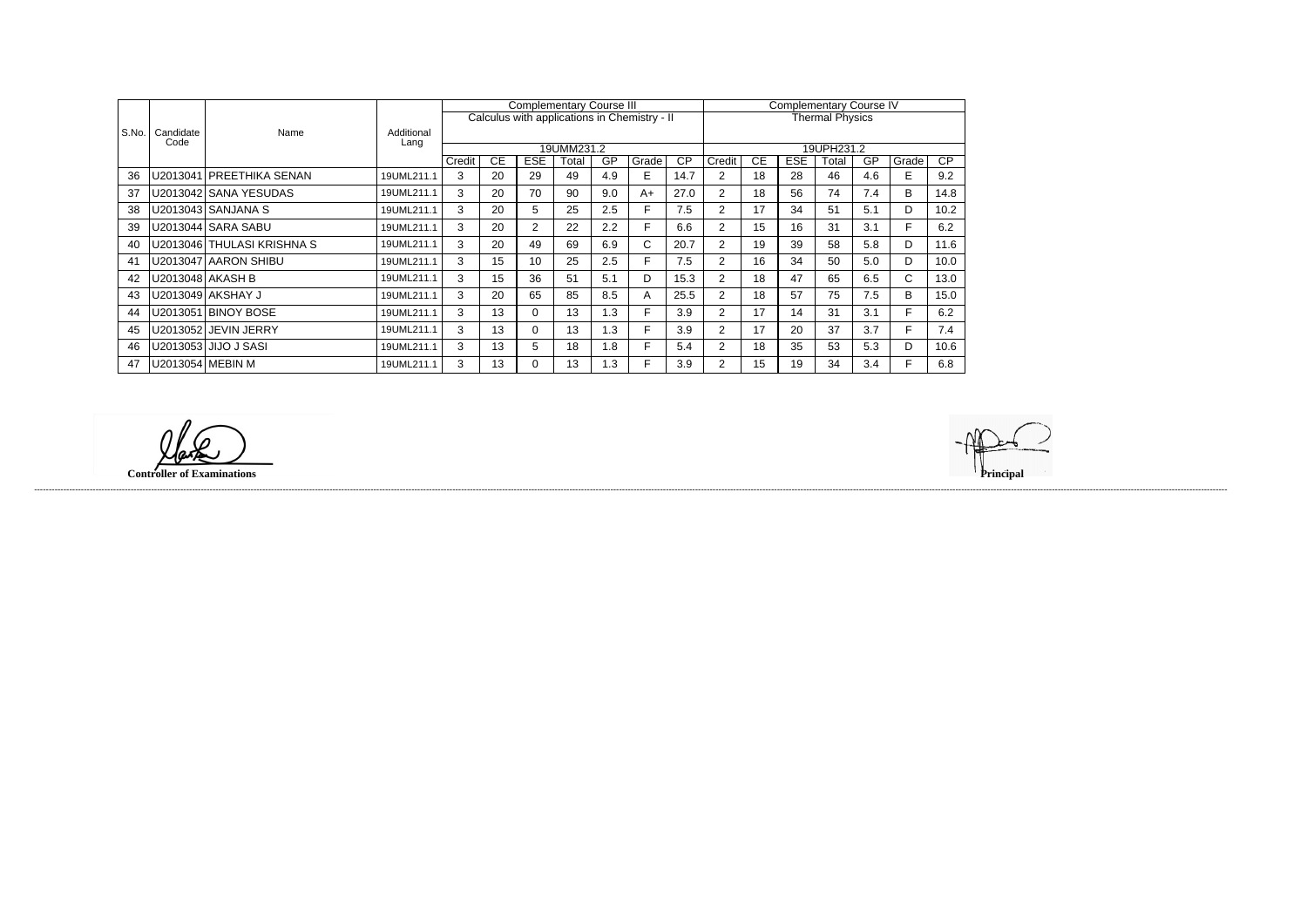|       |                   |                              |            |        |           | <b>Complementary Course III</b> |            |     |                                              | <b>Complementary Course IV</b> |                |           |            |                        |           |       |      |
|-------|-------------------|------------------------------|------------|--------|-----------|---------------------------------|------------|-----|----------------------------------------------|--------------------------------|----------------|-----------|------------|------------------------|-----------|-------|------|
|       |                   |                              |            |        |           |                                 |            |     | Calculus with applications in Chemistry - II |                                |                |           |            | <b>Thermal Physics</b> |           |       |      |
| S.No. | Candidate<br>Code | Name                         | Additional |        |           |                                 |            |     |                                              |                                |                |           |            |                        |           |       |      |
|       |                   |                              | Lang       |        |           |                                 | 19UMM231.2 |     |                                              |                                |                |           |            | 19UPH231.2             |           |       |      |
|       |                   |                              |            | Credit | <b>CE</b> | <b>ESE</b>                      | Total      | GP  | Grade                                        | $\overline{CP}$                | Credit         | <b>CE</b> | <b>ESE</b> | Total                  | <b>GP</b> | Grade | CP   |
| 36    |                   | U2013041   PREETHIKA SENAN   | 19UML211.1 | 3      | 20        | 29                              | 49         | 4.9 | E.                                           | 14.7                           | 2              | 18        | 28         | 46                     | 4.6       | Е     | 9.2  |
| 37    |                   | U2013042 SANA YESUDAS        | 19UML211.1 | 3      | 20        | 70                              | 90         | 9.0 | A+                                           | 27.0                           | $\overline{2}$ | 18        | 56         | 74                     | 7.4       | В     | 14.8 |
| 38    |                   | U2013043   SANJANA S         | 19UML211.1 | 3      | 20        | 5.                              | 25         | 2.5 | E.                                           | 7.5                            | $\overline{2}$ | 17        | 34         | 51                     | 5.1       | D     | 10.2 |
| 39    |                   | U2013044   SARA SABU         | 19UML211.1 | 3      | 20        | $\overline{2}$                  | 22         | 2.2 |                                              | 6.6                            | 2              | 15        | 16         | 31                     | 3.1       | F.    | 6.2  |
| 40    |                   | U2013046   THULASI KRISHNA S | 19UML211.1 | 3      | 20        | 49                              | 69         | 6.9 | C.                                           | 20.7                           | 2              | 19        | 39         | 58                     | 5.8       | D     | 11.6 |
| 41    |                   | U2013047   AARON SHIBU       | 19UML211.1 | 3      | 15        | 10                              | 25         | 2.5 | F                                            | 7.5                            | $\overline{2}$ | 16        | 34         | 50                     | 5.0       | D     | 10.0 |
| 42    |                   | U2013048   AKASH B           | 19UML211.1 | 3      | 15        | 36                              | 51         | 5.1 | D                                            | 15.3                           | $\overline{2}$ | 18        | 47         | 65                     | 6.5       | C     | 13.0 |
| 43    |                   | U2013049   AKSHAY J          | 19UML211.1 | 3      | 20        | 65                              | 85         | 8.5 | A                                            | 25.5                           | $\overline{2}$ | 18        | 57         | 75                     | 7.5       | B     | 15.0 |
| 44    |                   | U2013051 BINOY BOSE          | 19UML211.1 | 3      | 13        | 0.                              | 13         | 1.3 |                                              | 3.9                            | $\overline{2}$ | 17        | 14         | 31                     | 3.1       | F.    | 6.2  |
| 45    |                   | U2013052 JEVIN JERRY         | 19UML211.1 | 3      | 13        | 0                               | 13         | 1.3 | E.                                           | 3.9                            | $\overline{2}$ | 17        | 20         | 37                     | 3.7       | F.    | 7.4  |
| 46    |                   | U2013053   JIJO J SASI       | 19UML211.1 | 3      | 13        | 5                               | 18         | 1.8 | F.                                           | 5.4                            | 2              | 18        | 35         | 53                     | 5.3       | D     | 10.6 |
| 47    |                   | U2013054   MEBIN M           | 19UML211.1 | 3      | 13        | 0                               | 13         | 1.3 | F                                            | 3.9                            | $\overline{2}$ | 15        | 19         | 34                     | 3.4       | F     | 6.8  |

**Controller of Examinations Principal**

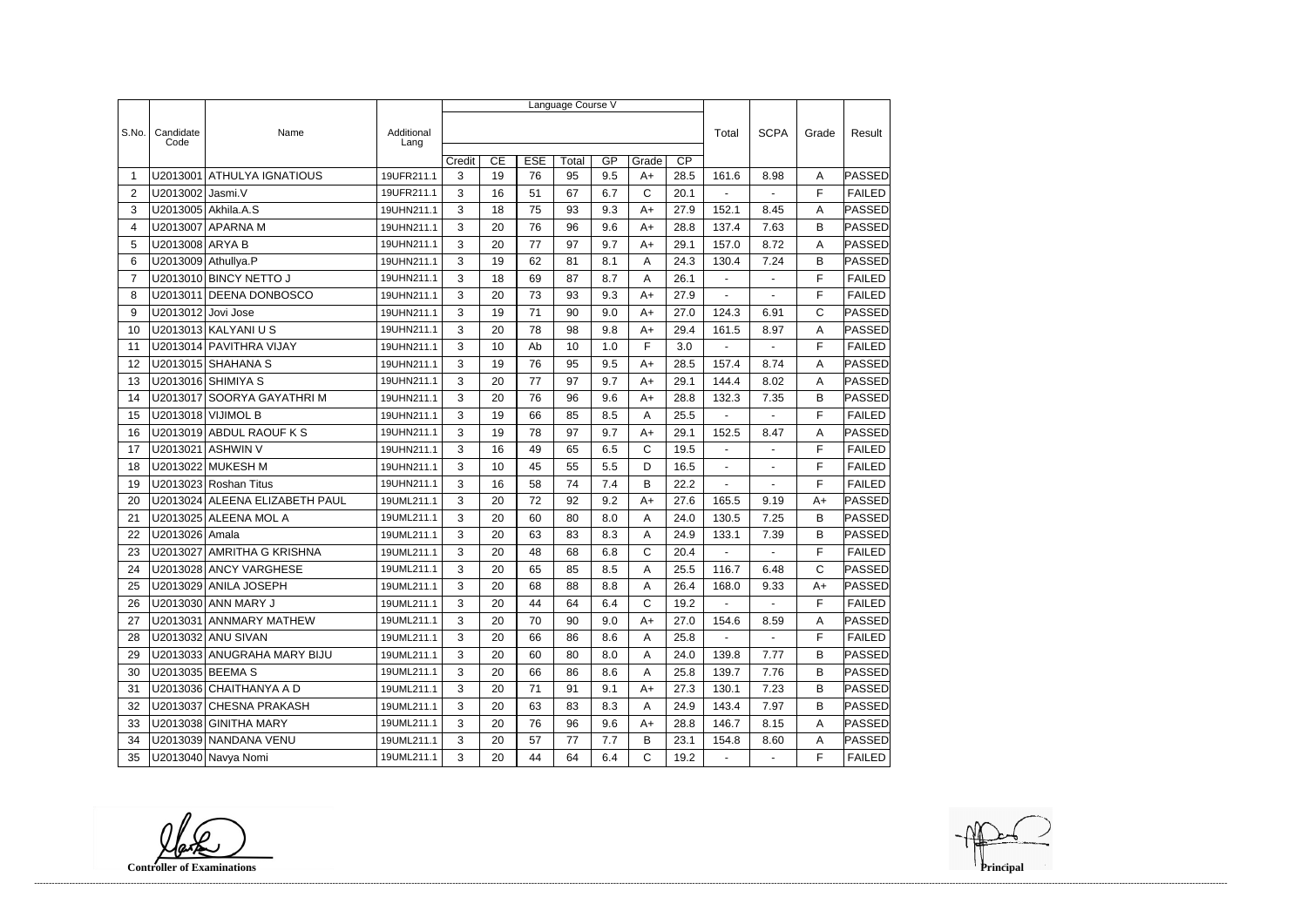|                |                     |                                |                    | Language Course V |    |            |       |     |              |      |                |                |             |               |
|----------------|---------------------|--------------------------------|--------------------|-------------------|----|------------|-------|-----|--------------|------|----------------|----------------|-------------|---------------|
|                |                     |                                |                    |                   |    |            |       |     |              |      |                |                |             |               |
| S.No.          | Candidate<br>Code   | Name                           | Additional<br>Lang |                   |    |            |       |     |              |      | Total          | <b>SCPA</b>    | Grade       | Result        |
|                |                     |                                |                    | Credit            | CE | <b>ESE</b> | Total | GP  | Grade        | CP   |                |                |             |               |
| -1             | U2013001            | <b>ATHULYA IGNATIOUS</b>       | 19UFR211.1         | 3                 | 19 | 76         | 95    | 9.5 | $A+$         | 28.5 | 161.6          | 8.98           | A           | PASSED        |
| $\overline{2}$ | U2013002 Jasmi.V    |                                | 19UFR211.1         | 3                 | 16 | 51         | 67    | 6.7 | C            | 20.1 |                |                | F           | <b>FAILED</b> |
| 3              |                     | U2013005 Akhila.A.S            | 19UHN211.1         | 3                 | 18 | 75         | 93    | 9.3 | $A+$         | 27.9 | 152.1          | 8.45           | A           | PASSED        |
| 4              |                     | U2013007 APARNA M              | 19UHN211.1         | 3                 | 20 | 76         | 96    | 9.6 | $A+$         | 28.8 | 137.4          | 7.63           | B           | PASSED        |
| 5              | U2013008 ARYA B     |                                | 19UHN211.1         | 3                 | 20 | 77         | 97    | 9.7 | $A+$         | 29.1 | 157.0          | 8.72           | A           | PASSED        |
| 6              | U2013009 Athullya.P |                                | 19UHN211.1         | 3                 | 19 | 62         | 81    | 8.1 | A            | 24.3 | 130.4          | 7.24           | B           | PASSED        |
| $\overline{7}$ |                     | U2013010 BINCY NETTO J         | 19UHN211.1         | 3                 | 18 | 69         | 87    | 8.7 | Α            | 26.1 | $\blacksquare$ |                | F           | <b>FAILED</b> |
| 8              |                     | U2013011 DEENA DONBOSCO        | 19UHN211.1         | 3                 | 20 | 73         | 93    | 9.3 | $A+$         | 27.9 | $\blacksquare$ | $\blacksquare$ | F           | <b>FAILED</b> |
| 9              | U2013012 Jovi Jose  |                                | 19UHN211.1         | 3                 | 19 | 71         | 90    | 9.0 | $A+$         | 27.0 | 124.3          | 6.91           | $\mathsf C$ | PASSED        |
| 10             |                     | U2013013 KALYANI U S           | 19UHN211.1         | 3                 | 20 | 78         | 98    | 9.8 | $A+$         | 29.4 | 161.5          | 8.97           | A           | PASSED        |
| 11             |                     | U2013014 PAVITHRA VIJAY        | 19UHN211.1         | 3                 | 10 | Ab         | 10    | 1.0 | F            | 3.0  |                |                | F           | <b>FAILED</b> |
| 12             |                     | U2013015 SHAHANA S             | 19UHN211.1         | 3                 | 19 | 76         | 95    | 9.5 | A+           | 28.5 | 157.4          | 8.74           | A           | <b>PASSED</b> |
| 13             |                     | U2013016 SHIMIYA S             | 19UHN211.1         | 3                 | 20 | 77         | 97    | 9.7 | $A+$         | 29.1 | 144.4          | 8.02           | A           | <b>PASSED</b> |
| 14             |                     | U2013017 SOORYA GAYATHRIM      | 19UHN211.1         | 3                 | 20 | 76         | 96    | 9.6 | $A+$         | 28.8 | 132.3          | 7.35           | B           | PASSED        |
| 15             |                     | U2013018 VIJIMOL B             | 19UHN211.1         | 3                 | 19 | 66         | 85    | 8.5 | Α            | 25.5 | $\blacksquare$ | $\blacksquare$ | F           | <b>FAILED</b> |
| 16             |                     | U2013019 ABDUL RAOUF K S       | 19UHN211.1         | 3                 | 19 | 78         | 97    | 9.7 | $A+$         | 29.1 | 152.5          | 8.47           | Α           | PASSED        |
| 17             |                     | U2013021 ASHWIN V              | 19UHN211.1         | 3                 | 16 | 49         | 65    | 6.5 | C            | 19.5 | $\blacksquare$ | $\overline{a}$ | F           | <b>FAILED</b> |
| 18             |                     | U2013022 MUKESH M              | 19UHN211.1         | 3                 | 10 | 45         | 55    | 5.5 | D            | 16.5 | $\blacksquare$ | ÷,             | F           | <b>FAILED</b> |
| 19             |                     | U2013023 Roshan Titus          | 19UHN211.1         | 3                 | 16 | 58         | 74    | 7.4 | B            | 22.2 |                |                | F           | <b>FAILED</b> |
| 20             |                     | U2013024 ALEENA ELIZABETH PAUL | 19UML211.1         | 3                 | 20 | 72         | 92    | 9.2 | $A+$         | 27.6 | 165.5          | 9.19           | $A+$        | PASSED        |
| 21             |                     | U2013025 ALEENA MOL A          | 19UML211.1         | 3                 | 20 | 60         | 80    | 8.0 | A            | 24.0 | 130.5          | 7.25           | B           | PASSED        |
| 22             | U2013026 Amala      |                                | 19UML211.1         | 3                 | 20 | 63         | 83    | 8.3 | Α            | 24.9 | 133.1          | 7.39           | B           | <b>PASSED</b> |
| 23             | U2013027            | AMRITHA G KRISHNA              | 19UML211.1         | 3                 | 20 | 48         | 68    | 6.8 | C            | 20.4 | ÷,             |                | F           | <b>FAILED</b> |
| 24             |                     | U2013028 ANCY VARGHESE         | 19UML211.1         | 3                 | 20 | 65         | 85    | 8.5 | Α            | 25.5 | 116.7          | 6.48           | $\mathsf C$ | PASSED        |
| 25             |                     | U2013029 ANILA JOSEPH          | 19UML211.1         | 3                 | 20 | 68         | 88    | 8.8 | A            | 26.4 | 168.0          | 9.33           | $A+$        | <b>PASSED</b> |
| 26             |                     | U2013030 ANN MARY J            | 19UML211.1         | 3                 | 20 | 44         | 64    | 6.4 | $\mathsf{C}$ | 19.2 |                |                | F           | <b>FAILED</b> |
| 27             |                     | U2013031 ANNMARY MATHEW        | 19UML211.1         | 3                 | 20 | 70         | 90    | 9.0 | A+           | 27.0 | 154.6          | 8.59           | A           | PASSED        |
| 28             |                     | U2013032 ANU SIVAN             | 19UML211.1         | 3                 | 20 | 66         | 86    | 8.6 | A            | 25.8 | $\sim$         | $\blacksquare$ | F           | <b>FAILED</b> |
| 29             |                     | U2013033 ANUGRAHA MARY BIJU    | 19UML211.1         | 3                 | 20 | 60         | 80    | 8.0 | A            | 24.0 | 139.8          | 7.77           | B           | <b>PASSED</b> |
| 30             | U2013035 BEEMA S    |                                | 19UML211.1         | 3                 | 20 | 66         | 86    | 8.6 | A            | 25.8 | 139.7          | 7.76           | B           | PASSED        |
| 31             |                     | U2013036 CHAITHANYA A D        | 19UML211.1         | 3                 | 20 | 71         | 91    | 9.1 | A+           | 27.3 | 130.1          | 7.23           | B           | <b>PASSED</b> |
| 32             |                     | U2013037 CHESNA PRAKASH        | 19UML211.1         | 3                 | 20 | 63         | 83    | 8.3 | Α            | 24.9 | 143.4          | 7.97           | B           | PASSED        |
| 33             |                     | U2013038 GINITHA MARY          | 19UML211.1         | 3                 | 20 | 76         | 96    | 9.6 | A+           | 28.8 | 146.7          | 8.15           | A           | PASSED        |
| 34             |                     | U2013039 NANDANA VENU          | 19UML211.1         | 3                 | 20 | 57         | 77    | 7.7 | B            | 23.1 | 154.8          | 8.60           | Α           | <b>PASSED</b> |
| 35             |                     | U2013040 Navya Nomi            | 19UML211.1         | 3                 | 20 | 44         | 64    | 6.4 | $\mathsf{C}$ | 19.2 | $\blacksquare$ | $\blacksquare$ | F.          | FAILED        |

**Controller of Examinations**